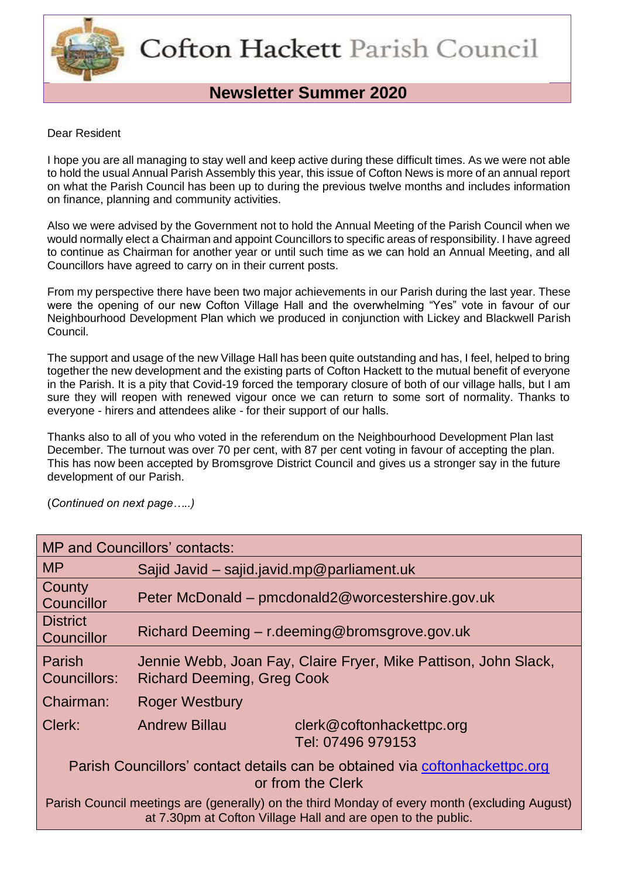

# **Newsletter Summer 2020**

#### Dear Resident

I hope you are all managing to stay well and keep active during these difficult times. As we were not able to hold the usual Annual Parish Assembly this year, this issue of Cofton News is more of an annual report on what the Parish Council has been up to during the previous twelve months and includes information on finance, planning and community activities.

Also we were advised by the Government not to hold the Annual Meeting of the Parish Council when we would normally elect a Chairman and appoint Councillors to specific areas of responsibility. I have agreed to continue as Chairman for another year or until such time as we can hold an Annual Meeting, and all Councillors have agreed to carry on in their current posts.

From my perspective there have been two major achievements in our Parish during the last year. These were the opening of our new Cofton Village Hall and the overwhelming "Yes" vote in favour of our Neighbourhood Development Plan which we produced in conjunction with Lickey and Blackwell Parish Council.

The support and usage of the new Village Hall has been quite outstanding and has, I feel, helped to bring together the new development and the existing parts of Cofton Hackett to the mutual benefit of everyone in the Parish. It is a pity that Covid-19 forced the temporary closure of both of our village halls, but I am sure they will reopen with renewed vigour once we can return to some sort of normality. Thanks to everyone - hirers and attendees alike - for their support of our halls.

Thanks also to all of you who voted in the referendum on the Neighbourhood Development Plan last December. The turnout was over 70 per cent, with 87 per cent voting in favour of accepting the plan. This has now been accepted by Bromsgrove District Council and gives us a stronger say in the future development of our Parish.

(*Continued on next page…..)*

| <b>MP and Councillors' contacts:</b>                                                                                                                          |                                                                                                      |                                                |
|---------------------------------------------------------------------------------------------------------------------------------------------------------------|------------------------------------------------------------------------------------------------------|------------------------------------------------|
| <b>MP</b>                                                                                                                                                     | Sajid Javid - sajid.javid.mp@parliament.uk                                                           |                                                |
| County<br>Councillor                                                                                                                                          | Peter McDonald – pmcdonald2@worcestershire.gov.uk                                                    |                                                |
| <b>District</b><br>Councillor                                                                                                                                 | Richard Deeming $-$ r.deeming@bromsgrove.gov.uk                                                      |                                                |
| Parish<br>Councillors:                                                                                                                                        | Jennie Webb, Joan Fay, Claire Fryer, Mike Pattison, John Slack,<br><b>Richard Deeming, Greg Cook</b> |                                                |
| Chairman:                                                                                                                                                     | <b>Roger Westbury</b>                                                                                |                                                |
| Clerk:                                                                                                                                                        | <b>Andrew Billau</b>                                                                                 | clerk@coftonhackettpc.org<br>Tel: 07496 979153 |
| Parish Councillors' contact details can be obtained via coftonhackettpc.org<br>or from the Clerk                                                              |                                                                                                      |                                                |
| Parish Council meetings are (generally) on the third Monday of every month (excluding August)<br>at 7.30pm at Cofton Village Hall and are open to the public. |                                                                                                      |                                                |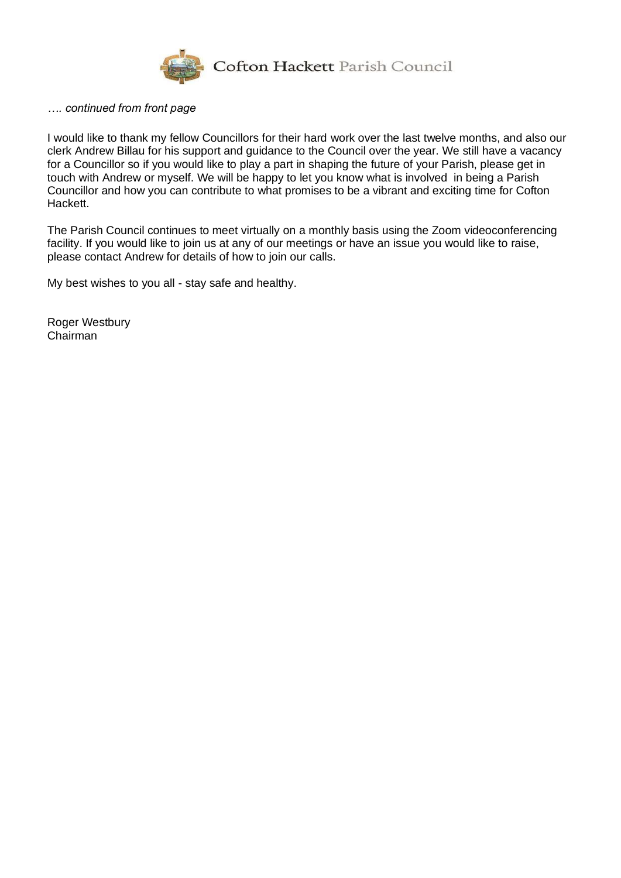

#### *…. continued from front page*

I would like to thank my fellow Councillors for their hard work over the last twelve months, and also our clerk Andrew Billau for his support and guidance to the Council over the year. We still have a vacancy for a Councillor so if you would like to play a part in shaping the future of your Parish, please get in touch with Andrew or myself. We will be happy to let you know what is involved in being a Parish Councillor and how you can contribute to what promises to be a vibrant and exciting time for Cofton Hackett.

The Parish Council continues to meet virtually on a monthly basis using the Zoom videoconferencing facility. If you would like to join us at any of our meetings or have an issue you would like to raise, please contact Andrew for details of how to join our calls.

My best wishes to you all - stay safe and healthy.

Roger Westbury Chairman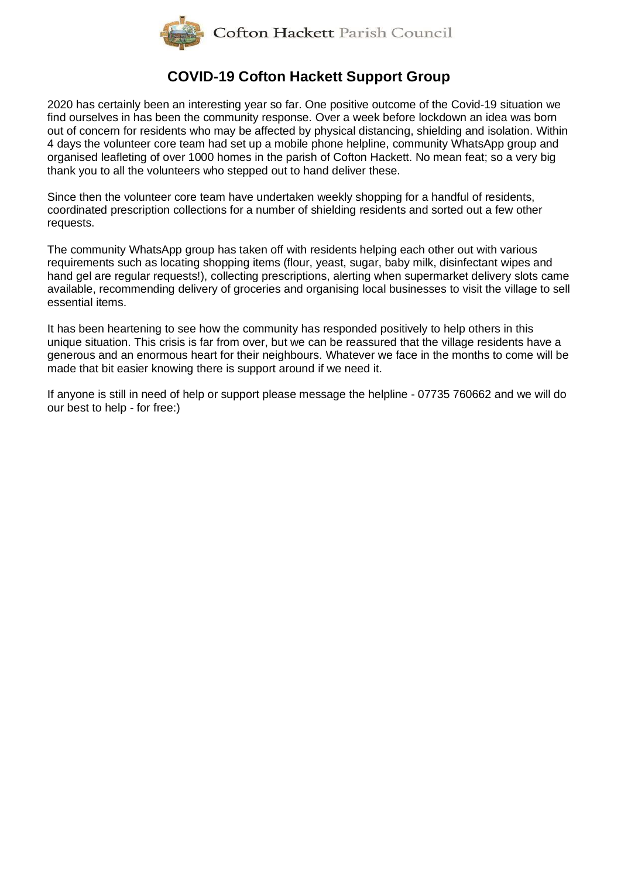

# **COVID-19 Cofton Hackett Support Group**

2020 has certainly been an interesting year so far. One positive outcome of the Covid-19 situation we find ourselves in has been the community response. Over a week before lockdown an idea was born out of concern for residents who may be affected by physical distancing, shielding and isolation. Within 4 days the volunteer core team had set up a mobile phone helpline, community WhatsApp group and organised leafleting of over 1000 homes in the parish of Cofton Hackett. No mean feat; so a very big thank you to all the volunteers who stepped out to hand deliver these.

Since then the volunteer core team have undertaken weekly shopping for a handful of residents, coordinated prescription collections for a number of shielding residents and sorted out a few other requests.

The community WhatsApp group has taken off with residents helping each other out with various requirements such as locating shopping items (flour, yeast, sugar, baby milk, disinfectant wipes and hand gel are regular requests!), collecting prescriptions, alerting when supermarket delivery slots came available, recommending delivery of groceries and organising local businesses to visit the village to sell essential items.

It has been heartening to see how the community has responded positively to help others in this unique situation. This crisis is far from over, but we can be reassured that the village residents have a generous and an enormous heart for their neighbours. Whatever we face in the months to come will be made that bit easier knowing there is support around if we need it.

If anyone is still in need of help or support please message the helpline - 07735 760662 and we will do our best to help - for free:)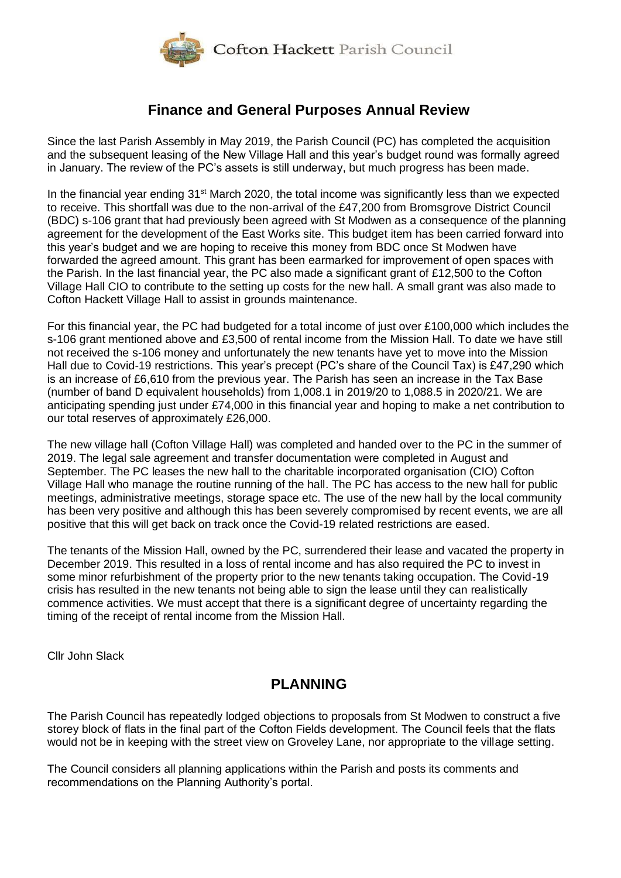

## **Finance and General Purposes Annual Review**

Since the last Parish Assembly in May 2019, the Parish Council (PC) has completed the acquisition and the subsequent leasing of the New Village Hall and this year's budget round was formally agreed in January. The review of the PC's assets is still underway, but much progress has been made.

In the financial year ending 31<sup>st</sup> March 2020, the total income was significantly less than we expected to receive. This shortfall was due to the non-arrival of the £47,200 from Bromsgrove District Council (BDC) s-106 grant that had previously been agreed with St Modwen as a consequence of the planning agreement for the development of the East Works site. This budget item has been carried forward into this year's budget and we are hoping to receive this money from BDC once St Modwen have forwarded the agreed amount. This grant has been earmarked for improvement of open spaces with the Parish. In the last financial year, the PC also made a significant grant of £12,500 to the Cofton Village Hall CIO to contribute to the setting up costs for the new hall. A small grant was also made to Cofton Hackett Village Hall to assist in grounds maintenance.

For this financial year, the PC had budgeted for a total income of just over £100,000 which includes the s-106 grant mentioned above and £3,500 of rental income from the Mission Hall. To date we have still not received the s-106 money and unfortunately the new tenants have yet to move into the Mission Hall due to Covid-19 restrictions. This year's precept (PC's share of the Council Tax) is £47,290 which is an increase of £6,610 from the previous year. The Parish has seen an increase in the Tax Base (number of band D equivalent households) from 1,008.1 in 2019/20 to 1,088.5 in 2020/21. We are anticipating spending just under £74,000 in this financial year and hoping to make a net contribution to our total reserves of approximately £26,000.

The new village hall (Cofton Village Hall) was completed and handed over to the PC in the summer of 2019. The legal sale agreement and transfer documentation were completed in August and September. The PC leases the new hall to the charitable incorporated organisation (CIO) Cofton Village Hall who manage the routine running of the hall. The PC has access to the new hall for public meetings, administrative meetings, storage space etc. The use of the new hall by the local community has been very positive and although this has been severely compromised by recent events, we are all positive that this will get back on track once the Covid-19 related restrictions are eased.

The tenants of the Mission Hall, owned by the PC, surrendered their lease and vacated the property in December 2019. This resulted in a loss of rental income and has also required the PC to invest in some minor refurbishment of the property prior to the new tenants taking occupation. The Covid-19 crisis has resulted in the new tenants not being able to sign the lease until they can realistically commence activities. We must accept that there is a significant degree of uncertainty regarding the timing of the receipt of rental income from the Mission Hall.

Cllr John Slack

### **PLANNING**

The Parish Council has repeatedly lodged objections to proposals from St Modwen to construct a five storey block of flats in the final part of the Cofton Fields development. The Council feels that the flats would not be in keeping with the street view on Groveley Lane, nor appropriate to the village setting.

The Council considers all planning applications within the Parish and posts its comments and recommendations on the Planning Authority's portal.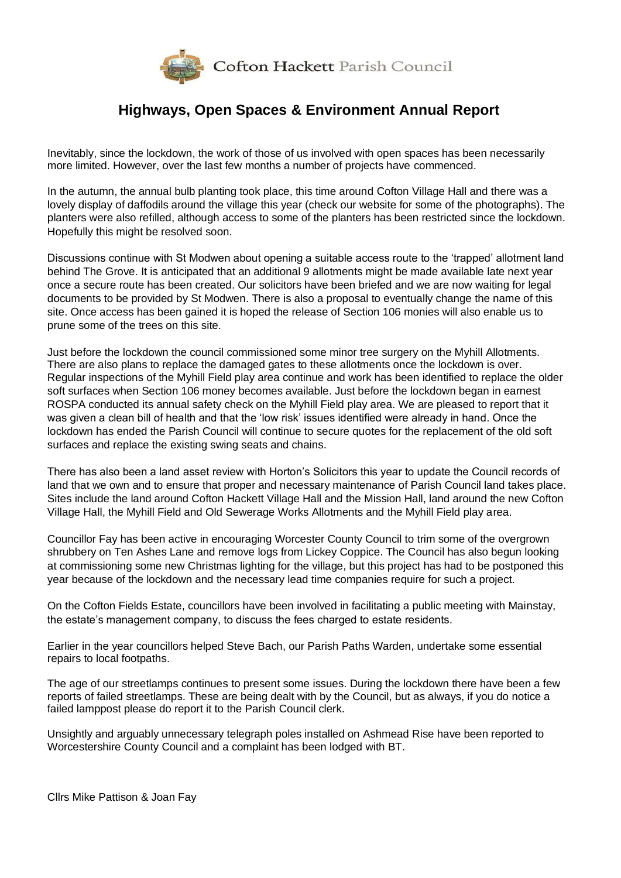

# **Highways, Open Spaces & Environment Annual Report**

Inevitably, since the lockdown, the work of those of us involved with open spaces has been necessarily more limited. However, over the last few months a number of projects have commenced.

In the autumn, the annual bulb planting took place, this time around Cofton Village Hall and there was a lovely display of daffodils around the village this year (check our website for some of the photographs). The planters were also refilled, although access to some of the planters has been restricted since the lockdown. Hopefully this might be resolved soon.

Discussions continue with St Modwen about opening a suitable access route to the 'trapped' allotment land behind The Grove. It is anticipated that an additional 9 allotments might be made available late next year once a secure route has been created. Our solicitors have been briefed and we are now waiting for legal documents to be provided by St Modwen. There is also a proposal to eventually change the name of this site. Once access has been gained it is hoped the release of Section 106 monies will also enable us to prune some of the trees on this site.

Just before the lockdown the council commissioned some minor tree surgery on the Myhill Allotments. There are also plans to replace the damaged gates to these allotments once the lockdown is over. Regular inspections of the Myhill Field play area continue and work has been identified to replace the older soft surfaces when Section 106 money becomes available. Just before the lockdown began in earnest ROSPA conducted its annual safety check on the Myhill Field play area. We are pleased to report that it was given a clean bill of health and that the 'low risk' issues identified were already in hand. Once the lockdown has ended the Parish Council will continue to secure quotes for the replacement of the old soft surfaces and replace the existing swing seats and chains.

There has also been a land asset review with Horton's Solicitors this year to update the Council records of land that we own and to ensure that proper and necessary maintenance of Parish Council land takes place. Sites include the land around Cofton Hackett Village Hall and the Mission Hall, land around the new Cofton Village Hall, the Myhill Field and Old Sewerage Works Allotments and the Myhill Field play area.

Councillor Fay has been active in encouraging Worcester County Council to trim some of the overgrown shrubbery on Ten Ashes Lane and remove logs from Lickey Coppice. The Council has also begun looking at commissioning some new Christmas lighting for the village, but this project has had to be postponed this year because of the lockdown and the necessary lead time companies require for such a project.

On the Cofton Fields Estate, councillors have been involved in facilitating a public meeting with Mainstay, the estate's management company, to discuss the fees charged to estate residents.

Earlier in the year councillors helped Steve Bach, our Parish Paths Warden, undertake some essential repairs to local footpaths.

The age of our streetlamps continues to present some issues. During the lockdown there have been a few reports of failed streetlamps. These are being dealt with by the Council, but as always, if you do notice a failed lamppost please do report it to the Parish Council clerk.

Unsightly and arguably unnecessary telegraph poles installed on Ashmead Rise have been reported to Worcestershire County Council and a complaint has been lodged with BT.